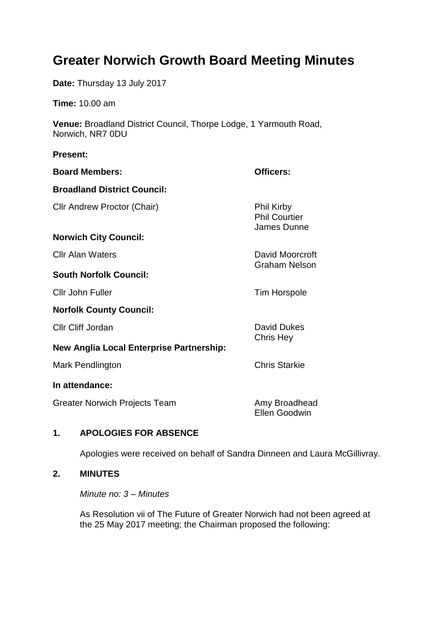# **Greater Norwich Growth Board Meeting Minutes**

**Date:** Thursday 13 July 2017

**Time:** 10.00 am

**Venue:** Broadland District Council, Thorpe Lodge, 1 Yarmouth Road, Norwich, NR7 0DU

#### **Present:**

| <b>Board Members:</b>                    | Officers:                                                |
|------------------------------------------|----------------------------------------------------------|
| <b>Broadland District Council:</b>       |                                                          |
| Cllr Andrew Proctor (Chair)              | <b>Phil Kirby</b><br><b>Phil Courtier</b><br>James Dunne |
| <b>Norwich City Council:</b>             |                                                          |
| <b>Cllr Alan Waters</b>                  | David Moorcroft                                          |
| <b>South Norfolk Council:</b>            | <b>Graham Nelson</b>                                     |
| Cllr John Fuller                         | <b>Tim Horspole</b>                                      |
| <b>Norfolk County Council:</b>           |                                                          |
| Cllr Cliff Jordan                        | <b>David Dukes</b>                                       |
| New Anglia Local Enterprise Partnership: | Chris Hey                                                |
| Mark Pendlington                         | <b>Chris Starkie</b>                                     |
| In attendance:                           |                                                          |
| Greater Norwich Projects Team            | Amy Broadhead<br><b>Ellen Goodwin</b>                    |

## **1. APOLOGIES FOR ABSENCE**

Apologies were received on behalf of Sandra Dinneen and Laura McGillivray.

## **2. MINUTES**

*Minute no: 3 – Minutes*

As Resolution vii of The Future of Greater Norwich had not been agreed at the 25 May 2017 meeting; the Chairman proposed the following: